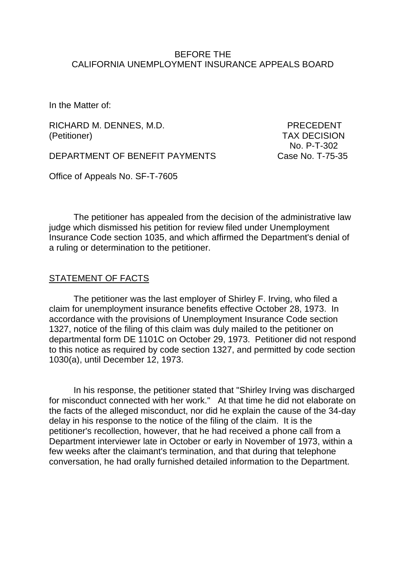#### BEFORE THE CALIFORNIA UNEMPLOYMENT INSURANCE APPEALS BOARD

In the Matter of:

RICHARD M. DENNES, M.D. PRECEDENT (Petitioner) TAX DECISION

DEPARTMENT OF BENEFIT PAYMENTS Case No. T-75-35

No. P-T-302

Office of Appeals No. SF-T-7605

The petitioner has appealed from the decision of the administrative law judge which dismissed his petition for review filed under Unemployment Insurance Code section 1035, and which affirmed the Department's denial of a ruling or determination to the petitioner.

#### STATEMENT OF FACTS

The petitioner was the last employer of Shirley F. Irving, who filed a claim for unemployment insurance benefits effective October 28, 1973. In accordance with the provisions of Unemployment Insurance Code section 1327, notice of the filing of this claim was duly mailed to the petitioner on departmental form DE 1101C on October 29, 1973. Petitioner did not respond to this notice as required by code section 1327, and permitted by code section 1030(a), until December 12, 1973.

In his response, the petitioner stated that "Shirley Irving was discharged for misconduct connected with her work." At that time he did not elaborate on the facts of the alleged misconduct, nor did he explain the cause of the 34-day delay in his response to the notice of the filing of the claim. It is the petitioner's recollection, however, that he had received a phone call from a Department interviewer late in October or early in November of 1973, within a few weeks after the claimant's termination, and that during that telephone conversation, he had orally furnished detailed information to the Department.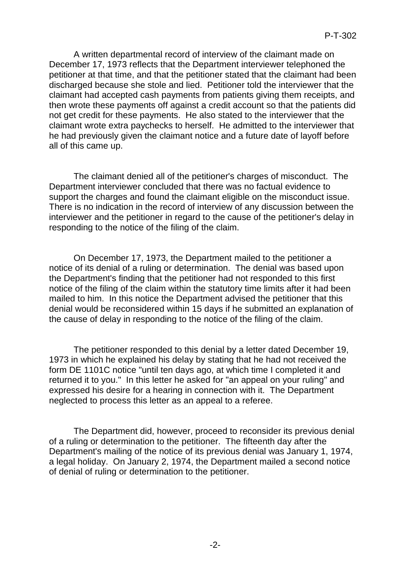A written departmental record of interview of the claimant made on December 17, 1973 reflects that the Department interviewer telephoned the petitioner at that time, and that the petitioner stated that the claimant had been discharged because she stole and lied. Petitioner told the interviewer that the claimant had accepted cash payments from patients giving them receipts, and then wrote these payments off against a credit account so that the patients did not get credit for these payments. He also stated to the interviewer that the claimant wrote extra paychecks to herself. He admitted to the interviewer that he had previously given the claimant notice and a future date of layoff before all of this came up.

The claimant denied all of the petitioner's charges of misconduct. The Department interviewer concluded that there was no factual evidence to support the charges and found the claimant eligible on the misconduct issue. There is no indication in the record of interview of any discussion between the interviewer and the petitioner in regard to the cause of the petitioner's delay in responding to the notice of the filing of the claim.

On December 17, 1973, the Department mailed to the petitioner a notice of its denial of a ruling or determination. The denial was based upon the Department's finding that the petitioner had not responded to this first notice of the filing of the claim within the statutory time limits after it had been mailed to him. In this notice the Department advised the petitioner that this denial would be reconsidered within 15 days if he submitted an explanation of the cause of delay in responding to the notice of the filing of the claim.

The petitioner responded to this denial by a letter dated December 19, 1973 in which he explained his delay by stating that he had not received the form DE 1101C notice "until ten days ago, at which time I completed it and returned it to you." In this letter he asked for "an appeal on your ruling" and expressed his desire for a hearing in connection with it. The Department neglected to process this letter as an appeal to a referee.

The Department did, however, proceed to reconsider its previous denial of a ruling or determination to the petitioner. The fifteenth day after the Department's mailing of the notice of its previous denial was January 1, 1974, a legal holiday. On January 2, 1974, the Department mailed a second notice of denial of ruling or determination to the petitioner.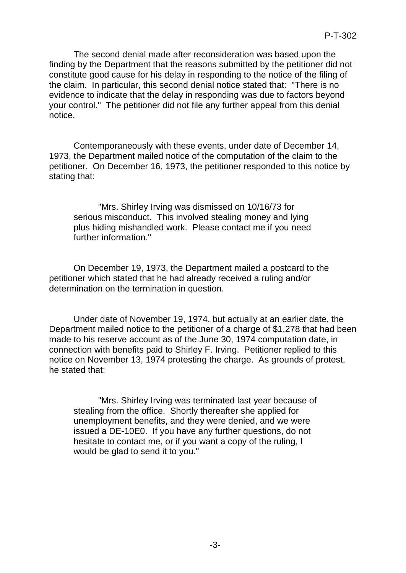The second denial made after reconsideration was based upon the finding by the Department that the reasons submitted by the petitioner did not constitute good cause for his delay in responding to the notice of the filing of the claim. In particular, this second denial notice stated that: "There is no evidence to indicate that the delay in responding was due to factors beyond your control." The petitioner did not file any further appeal from this denial notice.

Contemporaneously with these events, under date of December 14, 1973, the Department mailed notice of the computation of the claim to the petitioner. On December 16, 1973, the petitioner responded to this notice by stating that:

"Mrs. Shirley Irving was dismissed on 10/16/73 for serious misconduct. This involved stealing money and lying plus hiding mishandled work. Please contact me if you need further information."

On December 19, 1973, the Department mailed a postcard to the petitioner which stated that he had already received a ruling and/or determination on the termination in question.

Under date of November 19, 1974, but actually at an earlier date, the Department mailed notice to the petitioner of a charge of \$1,278 that had been made to his reserve account as of the June 30, 1974 computation date, in connection with benefits paid to Shirley F. Irving. Petitioner replied to this notice on November 13, 1974 protesting the charge. As grounds of protest, he stated that:

"Mrs. Shirley Irving was terminated last year because of stealing from the office. Shortly thereafter she applied for unemployment benefits, and they were denied, and we were issued a DE-10E0. If you have any further questions, do not hesitate to contact me, or if you want a copy of the ruling, I would be glad to send it to you."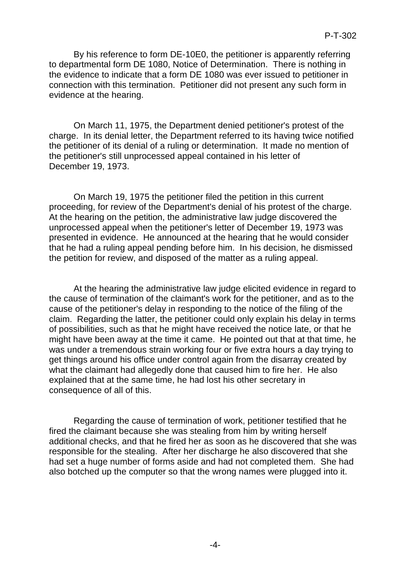By his reference to form DE-10E0, the petitioner is apparently referring to departmental form DE 1080, Notice of Determination. There is nothing in the evidence to indicate that a form DE 1080 was ever issued to petitioner in connection with this termination. Petitioner did not present any such form in evidence at the hearing.

On March 11, 1975, the Department denied petitioner's protest of the charge. In its denial letter, the Department referred to its having twice notified the petitioner of its denial of a ruling or determination. It made no mention of the petitioner's still unprocessed appeal contained in his letter of December 19, 1973.

On March 19, 1975 the petitioner filed the petition in this current proceeding, for review of the Department's denial of his protest of the charge. At the hearing on the petition, the administrative law judge discovered the unprocessed appeal when the petitioner's letter of December 19, 1973 was presented in evidence. He announced at the hearing that he would consider that he had a ruling appeal pending before him. In his decision, he dismissed the petition for review, and disposed of the matter as a ruling appeal.

At the hearing the administrative law judge elicited evidence in regard to the cause of termination of the claimant's work for the petitioner, and as to the cause of the petitioner's delay in responding to the notice of the filing of the claim. Regarding the latter, the petitioner could only explain his delay in terms of possibilities, such as that he might have received the notice late, or that he might have been away at the time it came. He pointed out that at that time, he was under a tremendous strain working four or five extra hours a day trying to get things around his office under control again from the disarray created by what the claimant had allegedly done that caused him to fire her. He also explained that at the same time, he had lost his other secretary in consequence of all of this.

Regarding the cause of termination of work, petitioner testified that he fired the claimant because she was stealing from him by writing herself additional checks, and that he fired her as soon as he discovered that she was responsible for the stealing. After her discharge he also discovered that she had set a huge number of forms aside and had not completed them. She had also botched up the computer so that the wrong names were plugged into it.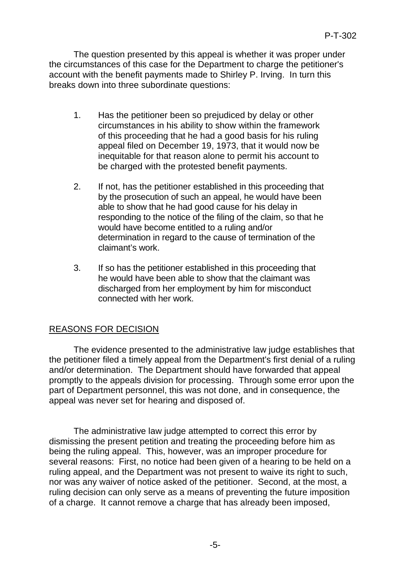The question presented by this appeal is whether it was proper under the circumstances of this case for the Department to charge the petitioner's account with the benefit payments made to Shirley P. Irving. In turn this breaks down into three subordinate questions:

- 1. Has the petitioner been so prejudiced by delay or other circumstances in his ability to show within the framework of this proceeding that he had a good basis for his ruling appeal filed on December 19, 1973, that it would now be inequitable for that reason alone to permit his account to be charged with the protested benefit payments.
- 2. If not, has the petitioner established in this proceeding that by the prosecution of such an appeal, he would have been able to show that he had good cause for his delay in responding to the notice of the filing of the claim, so that he would have become entitled to a ruling and/or determination in regard to the cause of termination of the claimant's work.
- 3. If so has the petitioner established in this proceeding that he would have been able to show that the claimant was discharged from her employment by him for misconduct connected with her work.

# REASONS FOR DECISION

The evidence presented to the administrative law judge establishes that the petitioner filed a timely appeal from the Department's first denial of a ruling and/or determination. The Department should have forwarded that appeal promptly to the appeals division for processing. Through some error upon the part of Department personnel, this was not done, and in consequence, the appeal was never set for hearing and disposed of.

The administrative law judge attempted to correct this error by dismissing the present petition and treating the proceeding before him as being the ruling appeal. This, however, was an improper procedure for several reasons: First, no notice had been given of a hearing to be held on a ruling appeal, and the Department was not present to waive its right to such, nor was any waiver of notice asked of the petitioner. Second, at the most, a ruling decision can only serve as a means of preventing the future imposition of a charge. It cannot remove a charge that has already been imposed,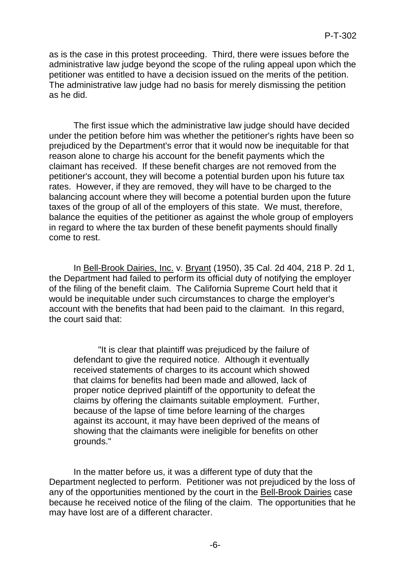as is the case in this protest proceeding. Third, there were issues before the administrative law judge beyond the scope of the ruling appeal upon which the petitioner was entitled to have a decision issued on the merits of the petition. The administrative law judge had no basis for merely dismissing the petition as he did.

The first issue which the administrative law judge should have decided under the petition before him was whether the petitioner's rights have been so prejudiced by the Department's error that it would now be inequitable for that reason alone to charge his account for the benefit payments which the claimant has received. If these benefit charges are not removed from the petitioner's account, they will become a potential burden upon his future tax rates. However, if they are removed, they will have to be charged to the balancing account where they will become a potential burden upon the future taxes of the group of all of the employers of this state. We must, therefore, balance the equities of the petitioner as against the whole group of employers in regard to where the tax burden of these benefit payments should finally come to rest.

In Bell-Brook Dairies, Inc. v. Bryant (1950), 35 Cal. 2d 404, 218 P. 2d 1, the Department had failed to perform its official duty of notifying the employer of the filing of the benefit claim. The California Supreme Court held that it would be inequitable under such circumstances to charge the employer's account with the benefits that had been paid to the claimant. In this regard, the court said that:

"It is clear that plaintiff was prejudiced by the failure of defendant to give the required notice. Although it eventually received statements of charges to its account which showed that claims for benefits had been made and allowed, lack of proper notice deprived plaintiff of the opportunity to defeat the claims by offering the claimants suitable employment. Further, because of the lapse of time before learning of the charges against its account, it may have been deprived of the means of showing that the claimants were ineligible for benefits on other grounds."

In the matter before us, it was a different type of duty that the Department neglected to perform. Petitioner was not prejudiced by the loss of any of the opportunities mentioned by the court in the Bell-Brook Dairies case because he received notice of the filing of the claim. The opportunities that he may have lost are of a different character.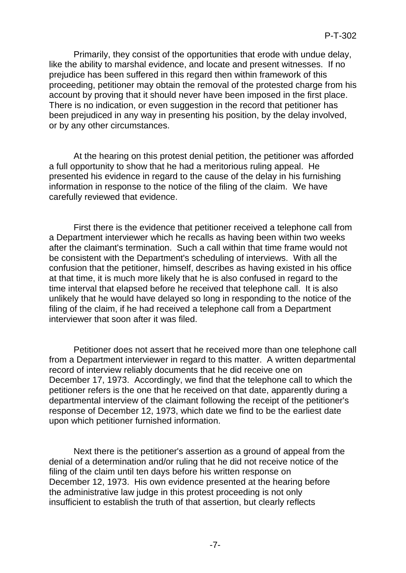Primarily, they consist of the opportunities that erode with undue delay, like the ability to marshal evidence, and locate and present witnesses. If no prejudice has been suffered in this regard then within framework of this proceeding, petitioner may obtain the removal of the protested charge from his account by proving that it should never have been imposed in the first place. There is no indication, or even suggestion in the record that petitioner has been prejudiced in any way in presenting his position, by the delay involved, or by any other circumstances.

At the hearing on this protest denial petition, the petitioner was afforded a full opportunity to show that he had a meritorious ruling appeal. He presented his evidence in regard to the cause of the delay in his furnishing information in response to the notice of the filing of the claim. We have carefully reviewed that evidence.

First there is the evidence that petitioner received a telephone call from a Department interviewer which he recalls as having been within two weeks after the claimant's termination. Such a call within that time frame would not be consistent with the Department's scheduling of interviews. With all the confusion that the petitioner, himself, describes as having existed in his office at that time, it is much more likely that he is also confused in regard to the time interval that elapsed before he received that telephone call. It is also unlikely that he would have delayed so long in responding to the notice of the filing of the claim, if he had received a telephone call from a Department interviewer that soon after it was filed.

Petitioner does not assert that he received more than one telephone call from a Department interviewer in regard to this matter. A written departmental record of interview reliably documents that he did receive one on December 17, 1973. Accordingly, we find that the telephone call to which the petitioner refers is the one that he received on that date, apparently during a departmental interview of the claimant following the receipt of the petitioner's response of December 12, 1973, which date we find to be the earliest date upon which petitioner furnished information.

Next there is the petitioner's assertion as a ground of appeal from the denial of a determination and/or ruling that he did not receive notice of the filing of the claim until ten days before his written response on December 12, 1973. His own evidence presented at the hearing before the administrative law judge in this protest proceeding is not only insufficient to establish the truth of that assertion, but clearly reflects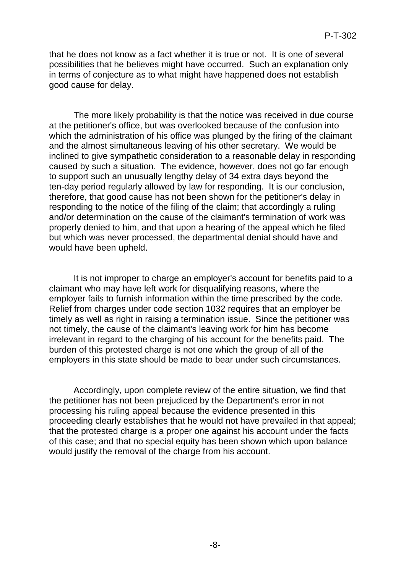that he does not know as a fact whether it is true or not. It is one of several possibilities that he believes might have occurred. Such an explanation only in terms of conjecture as to what might have happened does not establish good cause for delay.

The more likely probability is that the notice was received in due course at the petitioner's office, but was overlooked because of the confusion into which the administration of his office was plunged by the firing of the claimant and the almost simultaneous leaving of his other secretary. We would be inclined to give sympathetic consideration to a reasonable delay in responding caused by such a situation. The evidence, however, does not go far enough to support such an unusually lengthy delay of 34 extra days beyond the ten-day period regularly allowed by law for responding. It is our conclusion, therefore, that good cause has not been shown for the petitioner's delay in responding to the notice of the filing of the claim; that accordingly a ruling and/or determination on the cause of the claimant's termination of work was properly denied to him, and that upon a hearing of the appeal which he filed but which was never processed, the departmental denial should have and would have been upheld.

It is not improper to charge an employer's account for benefits paid to a claimant who may have left work for disqualifying reasons, where the employer fails to furnish information within the time prescribed by the code. Relief from charges under code section 1032 requires that an employer be timely as well as right in raising a termination issue. Since the petitioner was not timely, the cause of the claimant's leaving work for him has become irrelevant in regard to the charging of his account for the benefits paid. The burden of this protested charge is not one which the group of all of the employers in this state should be made to bear under such circumstances.

Accordingly, upon complete review of the entire situation, we find that the petitioner has not been prejudiced by the Department's error in not processing his ruling appeal because the evidence presented in this proceeding clearly establishes that he would not have prevailed in that appeal; that the protested charge is a proper one against his account under the facts of this case; and that no special equity has been shown which upon balance would justify the removal of the charge from his account.